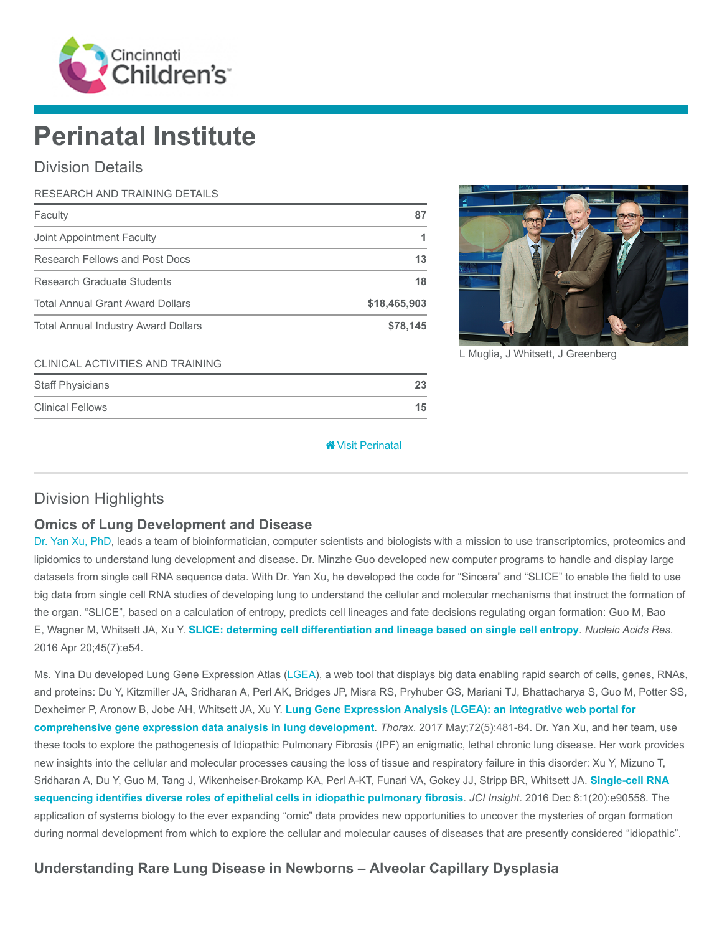

# Perinatal Institute

## Division Details

| RESEARCH AND TRAINING DETAILS              |              |
|--------------------------------------------|--------------|
| Faculty                                    | 87           |
| Joint Appointment Faculty                  |              |
| Research Fellows and Post Docs             | 13           |
| <b>Research Graduate Students</b>          | 18           |
| <b>Total Annual Grant Award Dollars</b>    | \$18,465,903 |
| <b>Total Annual Industry Award Dollars</b> | \$78,145     |



L Muglia, J Whitsett, J Greenberg

#### CLINICAL ACTIVITIES AND TRAINING

| <b>Staff Physicians</b> |    |
|-------------------------|----|
| <b>Clinical Fellows</b> | 15 |

#### [Visit Perinatal](https://www.cincinnatichildrens.org/research/divisions/p/perinatal)

## Division Highlights

#### Omics of Lung Development and Disease

[Dr. Yan Xu, PhD](https://www.cincinnatichildrens.org/bio/x/yan-xu), leads a team of bioinformatician, computer scientists and biologists with a mission to use transcriptomics, proteomics and lipidomics to understand lung development and disease. Dr. Minzhe Guo developed new computer programs to handle and display large datasets from single cell RNA sequence data. With Dr. Yan Xu, he developed the code for "Sincera" and "SLICE" to enable the field to use big data from single cell RNA studies of developing lung to understand the cellular and molecular mechanisms that instruct the formation of the organ. "SLICE", based on a calculation of entropy, predicts cell lineages and fate decisions regulating organ formation: Guo M, Bao E, Wagner M, Whitsett JA, Xu Y. [SLICE: determing cell differentiation and lineage based on single cell entropy](https://www.ncbi.nlm.nih.gov/pubmed/27998929). Nucleic Acids Res. 2016 Apr 20;45(7):e54.

Ms. Yina Du developed Lung Gene Expression Atlas ([LGEA\)](https://research.cchmc.org/pbge/lunggens/mainportal.html), a web tool that displays big data enabling rapid search of cells, genes, RNAs, and proteins: Du Y, Kitzmiller JA, Sridharan A, Perl AK, Bridges JP, Misra RS, Pryhuber GS, Mariani TJ, Bhattacharya S, Guo M, Potter SS, Dexheimer P, Aronow B, Jobe AH, Whitsett JA, Xu Y. [Lung Gene Expression Analysis \(LGEA\): an integrative web portal for](https://www.ncbi.nlm.nih.gov/pubmed/28070014) comprehensive gene expression data analysis in lung development. Thorax. 2017 May;72(5):481-84. Dr. Yan Xu, and her team, use these tools to explore the pathogenesis of Idiopathic Pulmonary Fibrosis (IPF) an enigmatic, lethal chronic lung disease. Her work provides new insights into the cellular and molecular processes causing the loss of tissue and respiratory failure in this disorder: Xu Y, Mizuno T, [Sridharan A, Du Y, Guo M, Tang J, Wikenheiser-Brokamp KA, Perl A-KT, Funari VA, Gokey JJ, Stripp BR, Whitsett JA.](https://www.ncbi.nlm.nih.gov/pubmed/27942595) Single-cell RNA sequencing identifies diverse roles of epithelial cells in idiopathic pulmonary fibrosis. JCI Insight. 2016 Dec 8:1(20):e90558. The application of systems biology to the ever expanding "omic" data provides new opportunities to uncover the mysteries of organ formation during normal development from which to explore the cellular and molecular causes of diseases that are presently considered "idiopathic".

## Understanding Rare Lung Disease in Newborns – Alveolar Capillary Dysplasia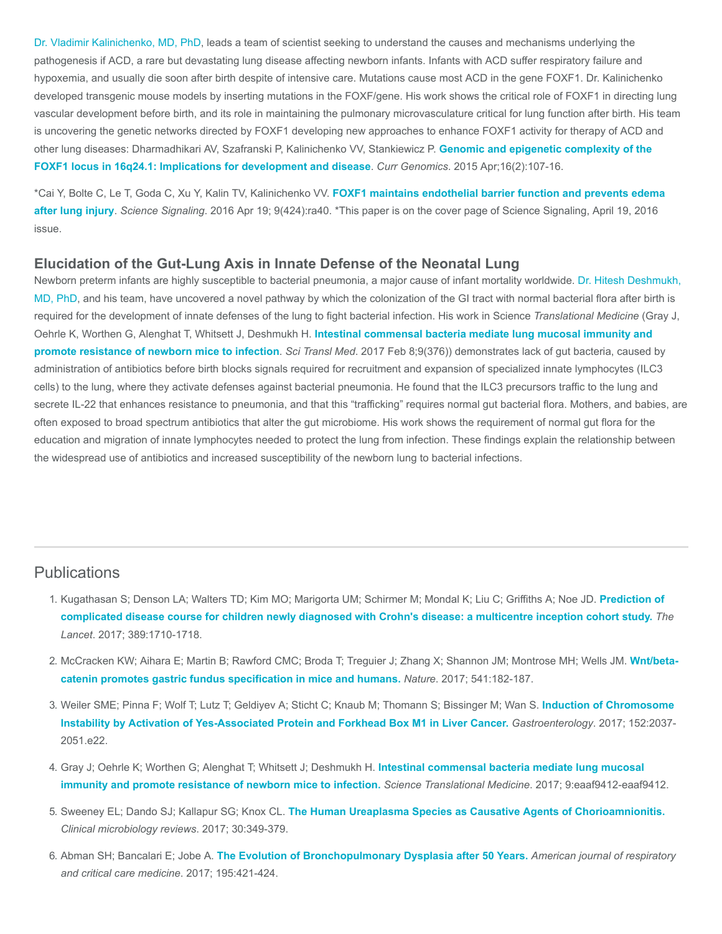[Dr. Vladimir Kalinichenko, MD, PhD,](https://www.cincinnatichildrens.org/bio/k/vladimir-kalinichenko) leads a team of scientist seeking to understand the causes and mechanisms underlying the pathogenesis if ACD, a rare but devastating lung disease affecting newborn infants. Infants with ACD suffer respiratory failure and hypoxemia, and usually die soon after birth despite of intensive care. Mutations cause most ACD in the gene FOXF1. Dr. Kalinichenko developed transgenic mouse models by inserting mutations in the FOXF/gene. His work shows the critical role of FOXF1 in directing lung vascular development before birth, and its role in maintaining the pulmonary microvasculature critical for lung function after birth. His team is uncovering the genetic networks directed by FOXF1 developing new approaches to enhance FOXF1 activity for therapy of ACD and [other lung diseases: Dharmadhikari AV, Szafranski P, Kalinichenko VV, Stankiewicz P.](https://www.ncbi.nlm.nih.gov/pubmed/26085809) Genomic and epigenetic complexity of the FOXF1 locus in 16q24.1: Implications for development and disease. Curr Genomics. 2015 Apr;16(2):107-16.

\*Cai Y, Bolte C, Le T, Goda C, Xu Y, Kalin TV, Kalinichenko VV. FOXF1 maintains endothelial barrier function and prevents edema after lung injury. Science Signaling[. 2016 Apr 19; 9\(424\):ra40. \\*This paper is on the cover page of Science Signaling, April 19, 2016](https://www.ncbi.nlm.nih.gov/pubmed/27095594) issue.

#### Elucidation of the Gut-Lung Axis in Innate Defense of the Neonatal Lung

[Newborn preterm infants are highly susceptible to bacterial pneumonia, a major cause of infant mortality worldwide. Dr. Hitesh Deshmukh,](https://www.cincinnatichildrens.org/bio/d/hitesh-deshmukh) MD, PhD, and his team, have uncovered a novel pathway by which the colonization of the GI tract with normal bacterial flora after birth is required for the development of innate defenses of the lung to fight bacterial infection. His work in Science Translational Medicine (Gray J, Oehrle K, Worthen G, Alenghat T, Whitsett J, Deshmukh H. [Intestinal commensal bacteria mediate lung mucosal immunity and](https://www.ncbi.nlm.nih.gov/pubmed/28179507) promote resistance of newborn mice to infection. Sci Transl Med. 2017 Feb 8;9(376)) demonstrates lack of gut bacteria, caused by administration of antibiotics before birth blocks signals required for recruitment and expansion of specialized innate lymphocytes (ILC3 cells) to the lung, where they activate defenses against bacterial pneumonia. He found that the ILC3 precursors traffic to the lung and secrete IL-22 that enhances resistance to pneumonia, and that this "trafficking" requires normal gut bacterial flora. Mothers, and babies, are often exposed to broad spectrum antibiotics that alter the gut microbiome. His work shows the requirement of normal gut flora for the education and migration of innate lymphocytes needed to protect the lung from infection. These findings explain the relationship between the widespread use of antibiotics and increased susceptibility of the newborn lung to bacterial infections.

#### **Publications**

- 1. [Kugathasan S; Denson LA; Walters TD; Kim MO; Marigorta UM; Schirmer M; Mondal K; Liu C; Griffiths A; Noe JD.](https://www.ncbi.nlm.nih.gov/pubmed/28259484) Prediction of complicated disease course for children newly diagnosed with Crohn's disease: a multicentre inception cohort study. The Lancet. 2017; 389:1710-1718.
- 2. [McCracken KW; Aihara E; Martin B; Rawford CMC; Broda T; Treguier J; Zhang X; Shannon JM; Montrose MH; Wells JM.](https://www.ncbi.nlm.nih.gov/pubmed/28052057) Wnt/betacatenin promotes gastric fundus specification in mice and humans. Nature. 2017; 541:182-187.
- 3. [Weiler SME; Pinna F; Wolf T; Lutz T; Geldiyev A; Sticht C; Knaub M; Thomann S; Bissinger M; Wan S.](https://www.ncbi.nlm.nih.gov/pubmed/28249813) Induction of Chromosome Instability by Activation of Yes-Associated Protein and Forkhead Box M1 in Liver Cancer. Gastroenterology. 2017; 152:2037- 2051.e22.
- 4. [Gray J; Oehrle K; Worthen G; Alenghat T; Whitsett J; Deshmukh H.](https://www.ncbi.nlm.nih.gov/pubmed/28179507) Intestinal commensal bacteria mediate lung mucosal immunity and promote resistance of newborn mice to infection. Science Translational Medicine. 2017; 9:eaaf9412-eaaf9412.
- 5. Sweeney EL; Dando SJ; Kallapur SG; Knox CL. [The Human Ureaplasma Species as Causative Agents of Chorioamnionitis.](https://www.ncbi.nlm.nih.gov/pubmed/27974410) Clinical microbiology reviews. 2017; 30:349-379.
- 6. Abman SH; Bancalari E; Jobe A. [The Evolution of Bronchopulmonary Dysplasia after 50 Years.](https://www.ncbi.nlm.nih.gov/pubmed/28199157) American journal of respiratory and critical care medicine. 2017; 195:421-424.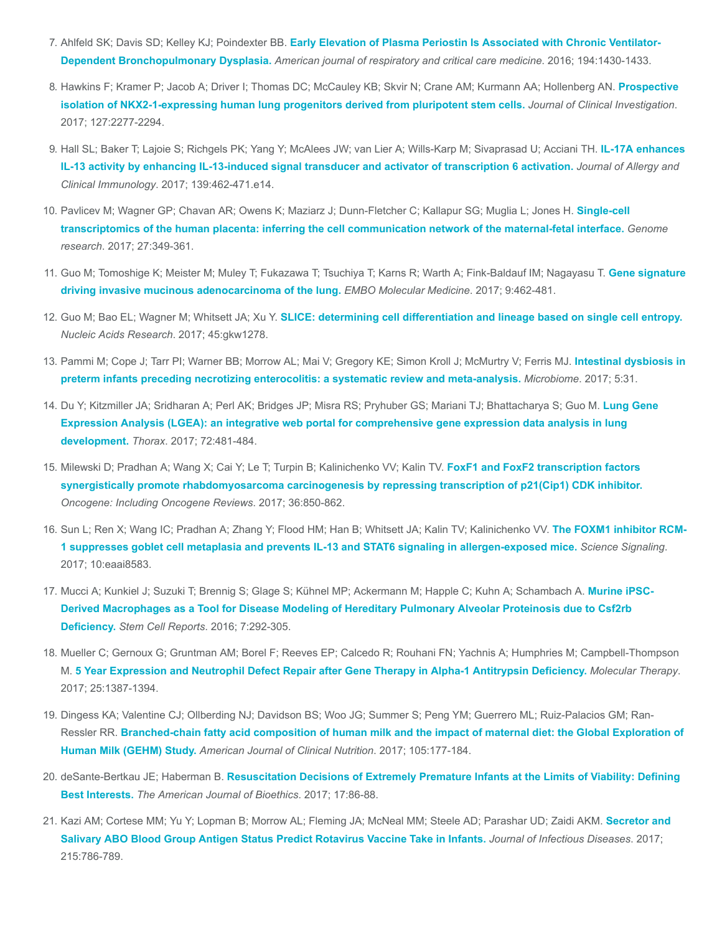- 7. Ahlfeld SK; Davis SD; Kelley KJ; Poindexter BB. [Early Elevation of Plasma Periostin Is Associated with Chronic Ventilator-](https://www.ncbi.nlm.nih.gov/pubmed/27905846)Dependent Bronchopulmonary Dysplasia. American journal of respiratory and critical care medicine. 2016; 194:1430-1433.
- 8. [Hawkins F; Kramer P; Jacob A; Driver I; Thomas DC; McCauley KB; Skvir N; Crane AM; Kurmann AA; Hollenberg AN.](https://www.ncbi.nlm.nih.gov/pubmed/28463226) Prospective isolation of NKX2-1-expressing human lung progenitors derived from pluripotent stem cells. Journal of Clinical Investigation. 2017; 127:2277-2294.
- 9. [Hall SL; Baker T; Lajoie S; Richgels PK; Yang Y; McAlees JW; van Lier A; Wills-Karp M; Sivaprasad U; Acciani TH.](https://www.ncbi.nlm.nih.gov/pubmed/27417023) IL-17A enhances IL-13 activity by enhancing IL-13-induced signal transducer and activator of transcription 6 activation. Journal of Allergy and Clinical Immunology. 2017; 139:462-471.e14.
- 10. [Pavlicev M; Wagner GP; Chavan AR; Owens K; Maziarz J; Dunn-Fletcher C; Kallapur SG; Muglia L; Jones H.](https://www.ncbi.nlm.nih.gov/pubmed/28174237) Single-cell transcriptomics of the human placenta: inferring the cell communication network of the maternal-fetal interface. Genome research. 2017; 27:349-361.
- 11. [Guo M; Tomoshige K; Meister M; Muley T; Fukazawa T; Tsuchiya T; Karns R; Warth A; Fink-Baldauf IM; Nagayasu T.](https://www.ncbi.nlm.nih.gov/pubmed/28255028) Gene signature driving invasive mucinous adenocarcinoma of the lung. EMBO Molecular Medicine. 2017; 9:462-481.
- 12. Guo M; Bao EL; Wagner M; Whitsett JA; Xu Y. [SLICE: determining cell differentiation and lineage based on single cell entropy.](https://www.ncbi.nlm.nih.gov/pubmed/27998929) Nucleic Acids Research. 2017; 45:gkw1278.
- 13. [Pammi M; Cope J; Tarr PI; Warner BB; Morrow AL; Mai V; Gregory KE; Simon Kroll J; McMurtry V; Ferris MJ.](https://www.ncbi.nlm.nih.gov/pubmed/28274256) Intestinal dysbiosis in preterm infants preceding necrotizing enterocolitis: a systematic review and meta-analysis. Microbiome. 2017; 5:31.
- 14. [Du Y; Kitzmiller JA; Sridharan A; Perl AK; Bridges JP; Misra RS; Pryhuber GS; Mariani TJ; Bhattacharya S; Guo M.](https://www.ncbi.nlm.nih.gov/pubmed/28070014) Lung Gene Expression Analysis (LGEA): an integrative web portal for comprehensive gene expression data analysis in lung development. Thorax. 2017; 72:481-484.
- 15. Milewski D; Pradhan A; Wang X; Cai Y; Le T; Turpin B; Kalinichenko VV; Kalin TV. FoxF1 and FoxF2 transcription factors [synergistically promote rhabdomyosarcoma carcinogenesis by repressing transcription of p21\(Cip1\) CDK inhibitor.](https://www.ncbi.nlm.nih.gov/pubmed/27425595) Oncogene: Including Oncogene Reviews. 2017; 36:850-862.
- 16. [Sun L; Ren X; Wang IC; Pradhan A; Zhang Y; Flood HM; Han B; Whitsett JA; Kalin TV; Kalinichenko VV.](https://www.ncbi.nlm.nih.gov/pubmed/28420758) The FOXM1 inhibitor RCM-1 suppresses goblet cell metaplasia and prevents IL-13 and STAT6 signaling in allergen-exposed mice. Science Signaling. 2017; 10:eaai8583.
- 17. [Mucci A; Kunkiel J; Suzuki T; Brennig S; Glage S; Kühnel MP; Ackermann M; Happle C; Kuhn A; Schambach A.](https://www.ncbi.nlm.nih.gov/pubmed/27453007) Murine iPSC-Derived Macrophages as a Tool for Disease Modeling of Hereditary Pulmonary Alveolar Proteinosis due to Csf2rb Deficiency. Stem Cell Reports. 2016; 7:292-305.
- 18. Mueller C; Gernoux G; Gruntman AM; Borel F; Reeves EP; Calcedo R; Rouhani FN; Yachnis A; Humphries M; Campbell-Thompson M. [5 Year Expression and Neutrophil Defect Repair after Gene Therapy in Alpha-1 Antitrypsin Deficiency.](https://www.ncbi.nlm.nih.gov/pubmed/28408179) Molecular Therapy. 2017; 25:1387-1394.
- 19. Dingess KA; Valentine CJ; Ollberding NJ; Davidson BS; Woo JG; Summer S; Peng YM; Guerrero ML; Ruiz-Palacios GM; Ran-Ressler RR. [Branched-chain fatty acid composition of human milk and the impact of maternal diet: the Global Exploration of](https://www.ncbi.nlm.nih.gov/pubmed/27903517) Human Milk (GEHM) Study. American Journal of Clinical Nutrition. 2017; 105:177-184.
- 20. deSante-Bertkau JE; Haberman B. [Resuscitation Decisions of Extremely Premature Infants at the Limits of Viability: Defining](https://www.ncbi.nlm.nih.gov/pubmed/27996907) Best Interests. The American Journal of Bioethics. 2017; 17:86-88.
- 21. [Kazi AM; Cortese MM; Yu Y; Lopman B; Morrow AL; Fleming JA; McNeal MM; Steele AD; Parashar UD; Zaidi AKM.](https://www.ncbi.nlm.nih.gov/pubmed/28329092) Secretor and Salivary ABO Blood Group Antigen Status Predict Rotavirus Vaccine Take in Infants. Journal of Infectious Diseases. 2017; 215:786-789.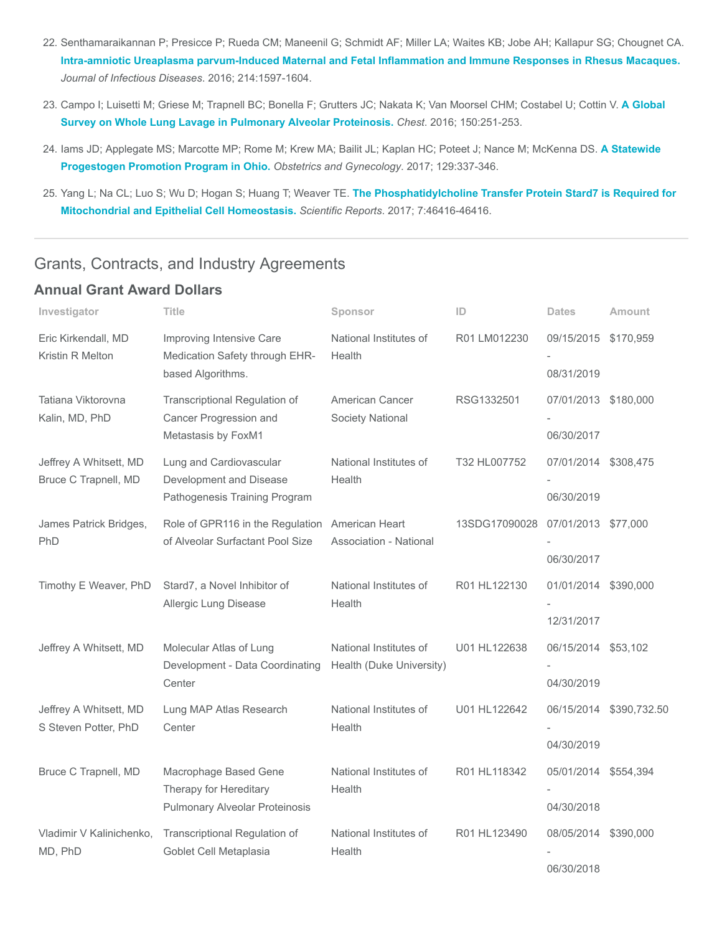- 22. Senthamaraikannan P; Presicce P; Rueda CM; Maneenil G; Schmidt AF; Miller LA; Waites KB; Jobe AH; Kallapur SG; Chougnet CA. [Intra-amniotic Ureaplasma parvum-Induced Maternal and Fetal Inflammation and Immune Responses in Rhesus Macaques.](https://www.ncbi.nlm.nih.gov/pubmed/27601620) Journal of Infectious Diseases. 2016; 214:1597-1604.
- 23. [Campo I; Luisetti M; Griese M; Trapnell BC; Bonella F; Grutters JC; Nakata K; Van Moorsel CHM; Costabel U; Cottin V.](https://www.ncbi.nlm.nih.gov/pubmed/27396783) A Global Survey on Whole Lung Lavage in Pulmonary Alveolar Proteinosis. Chest. 2016; 150:251-253.
- 24. [Iams JD; Applegate MS; Marcotte MP; Rome M; Krew MA; Bailit JL; Kaplan HC; Poteet J; Nance M; McKenna DS.](https://www.ncbi.nlm.nih.gov/pubmed/28079774) A Statewide Progestogen Promotion Program in Ohio. Obstetrics and Gynecology. 2017; 129:337-346.
- 25. [Yang L; Na CL; Luo S; Wu D; Hogan S; Huang T; Weaver TE.](https://www.ncbi.nlm.nih.gov/pubmed/28401922) The Phosphatidylcholine Transfer Protein Stard7 is Required for Mitochondrial and Epithelial Cell Homeostasis. Scientific Reports. 2017; 7:46416-46416.

## Grants, Contracts, and Industry Agreements

### Annual Grant Award Dollars

| Investigator                                   | Title                                                      | Sponsor                          | ID            | <b>Dates</b>         | <b>Amount</b>           |
|------------------------------------------------|------------------------------------------------------------|----------------------------------|---------------|----------------------|-------------------------|
| Eric Kirkendall, MD<br>Kristin R Melton        | Improving Intensive Care<br>Medication Safety through EHR- | National Institutes of<br>Health | R01 LM012230  | 09/15/2015           | \$170,959               |
|                                                | based Algorithms.                                          |                                  |               | 08/31/2019           |                         |
| Tatiana Viktorovna                             | Transcriptional Regulation of                              | American Cancer                  | RSG1332501    | 07/01/2013 \$180,000 |                         |
| Kalin, MD, PhD                                 | Cancer Progression and<br>Metastasis by FoxM1              | Society National                 |               | 06/30/2017           |                         |
| Jeffrey A Whitsett, MD                         | Lung and Cardiovascular                                    | National Institutes of           | T32 HL007752  | 07/01/2014 \$308,475 |                         |
| Bruce C Trapnell, MD                           | Development and Disease                                    | Health                           |               |                      |                         |
|                                                | Pathogenesis Training Program                              |                                  |               | 06/30/2019           |                         |
| James Patrick Bridges,                         | Role of GPR116 in the Regulation                           | American Heart                   | 13SDG17090028 | 07/01/2013 \$77,000  |                         |
| PhD                                            | of Alveolar Surfactant Pool Size                           | <b>Association - National</b>    |               |                      |                         |
|                                                |                                                            |                                  |               | 06/30/2017           |                         |
| Timothy E Weaver, PhD                          | Stard7, a Novel Inhibitor of                               | National Institutes of           | R01 HL122130  | 01/01/2014 \$390,000 |                         |
|                                                | Allergic Lung Disease                                      | Health                           |               |                      |                         |
|                                                |                                                            |                                  |               | 12/31/2017           |                         |
| Jeffrey A Whitsett, MD                         | Molecular Atlas of Lung                                    | National Institutes of           | U01 HL122638  | 06/15/2014 \$53,102  |                         |
|                                                | Development - Data Coordinating<br>Center                  | Health (Duke University)         |               | 04/30/2019           |                         |
|                                                |                                                            |                                  |               |                      |                         |
| Jeffrey A Whitsett, MD<br>S Steven Potter, PhD | Lung MAP Atlas Research<br>Center                          | National Institutes of<br>Health | U01 HL122642  |                      | 06/15/2014 \$390,732.50 |
|                                                |                                                            |                                  |               | 04/30/2019           |                         |
|                                                |                                                            |                                  |               |                      |                         |
| Bruce C Trapnell, MD                           | Macrophage Based Gene<br>Therapy for Hereditary            | National Institutes of<br>Health | R01 HL118342  | 05/01/2014 \$554,394 |                         |
|                                                | Pulmonary Alveolar Proteinosis                             |                                  |               | 04/30/2018           |                         |
| Vladimir V Kalinichenko,                       | Transcriptional Regulation of                              | National Institutes of           | R01 HL123490  | 08/05/2014           | \$390,000               |
| MD, PhD                                        | Goblet Cell Metaplasia                                     | Health                           |               |                      |                         |
|                                                |                                                            |                                  |               | 06/30/2018           |                         |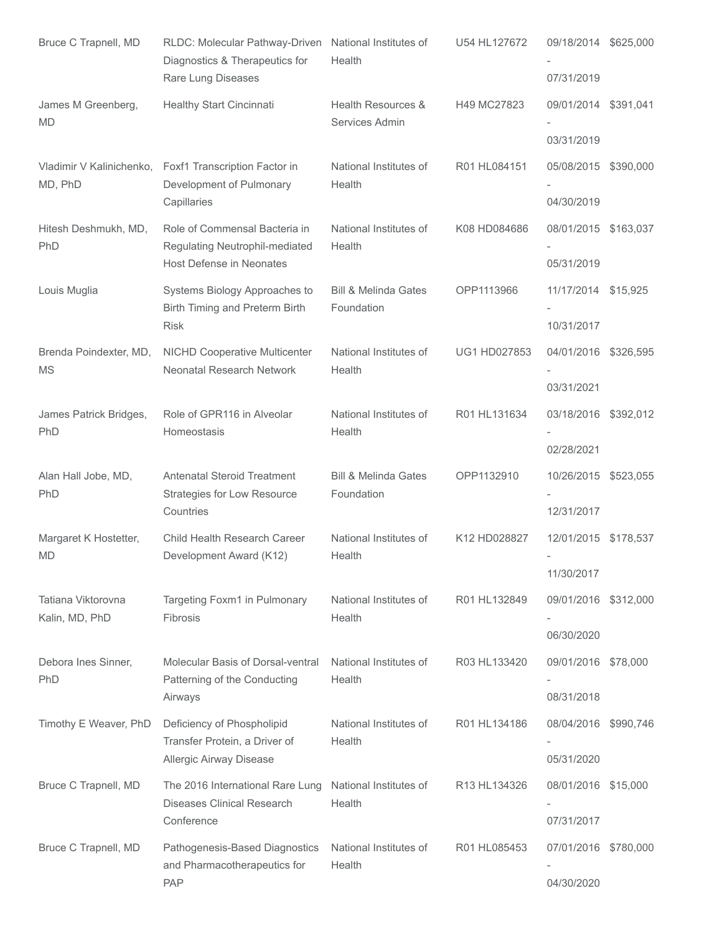| Bruce C Trapnell, MD                 | RLDC: Molecular Pathway-Driven<br>Diagnostics & Therapeutics for<br>Rare Lung Diseases      | National Institutes of<br>Health              | U54 HL127672 | 09/18/2014 \$625,000<br>07/31/2019 |           |
|--------------------------------------|---------------------------------------------------------------------------------------------|-----------------------------------------------|--------------|------------------------------------|-----------|
| James M Greenberg,<br><b>MD</b>      | Healthy Start Cincinnati                                                                    | Health Resources &<br>Services Admin          | H49 MC27823  | 09/01/2014 \$391,041               |           |
|                                      |                                                                                             |                                               |              | 03/31/2019                         |           |
| Vladimir V Kalinichenko,<br>MD, PhD  | Foxf1 Transcription Factor in<br>Development of Pulmonary<br>Capillaries                    | National Institutes of<br>Health              | R01 HL084151 | 05/08/2015<br>04/30/2019           | \$390,000 |
| Hitesh Deshmukh, MD,<br>PhD          | Role of Commensal Bacteria in<br>Regulating Neutrophil-mediated<br>Host Defense in Neonates | National Institutes of<br>Health              | K08 HD084686 | 08/01/2015 \$163,037<br>05/31/2019 |           |
| Louis Muglia                         | Systems Biology Approaches to<br>Birth Timing and Preterm Birth<br><b>Risk</b>              | <b>Bill &amp; Melinda Gates</b><br>Foundation | OPP1113966   | 11/17/2014 \$15,925<br>10/31/2017  |           |
| Brenda Poindexter, MD,<br><b>MS</b>  | <b>NICHD Cooperative Multicenter</b><br>Neonatal Research Network                           | National Institutes of<br>Health              | UG1 HD027853 | 04/01/2016 \$326,595<br>03/31/2021 |           |
| James Patrick Bridges,<br>PhD        | Role of GPR116 in Alveolar<br>Homeostasis                                                   | National Institutes of<br>Health              | R01 HL131634 | 03/18/2016 \$392,012<br>02/28/2021 |           |
| Alan Hall Jobe, MD,<br>PhD           | <b>Antenatal Steroid Treatment</b><br>Strategies for Low Resource<br>Countries              | <b>Bill &amp; Melinda Gates</b><br>Foundation | OPP1132910   | 10/26/2015<br>12/31/2017           | \$523,055 |
| Margaret K Hostetter,<br><b>MD</b>   | Child Health Research Career<br>Development Award (K12)                                     | National Institutes of<br>Health              | K12 HD028827 | 12/01/2015 \$178,537<br>11/30/2017 |           |
| Tatiana Viktorovna<br>Kalin, MD, PhD | Targeting Foxm1 in Pulmonary<br>Fibrosis                                                    | National Institutes of<br>Health              | R01 HL132849 | 09/01/2016<br>06/30/2020           | \$312,000 |
| Debora Ines Sinner,<br><b>PhD</b>    | Molecular Basis of Dorsal-ventral<br>Patterning of the Conducting<br>Airways                | National Institutes of<br>Health              | R03 HL133420 | 09/01/2016 \$78,000<br>08/31/2018  |           |
| Timothy E Weaver, PhD                | Deficiency of Phospholipid<br>Transfer Protein, a Driver of<br>Allergic Airway Disease      | National Institutes of<br>Health              | R01 HL134186 | 08/04/2016<br>05/31/2020           | \$990,746 |
| Bruce C Trapnell, MD                 | The 2016 International Rare Lung<br><b>Diseases Clinical Research</b><br>Conference         | National Institutes of<br>Health              | R13 HL134326 | 08/01/2016 \$15,000<br>07/31/2017  |           |
| Bruce C Trapnell, MD                 | Pathogenesis-Based Diagnostics<br>and Pharmacotherapeutics for<br>PAP                       | National Institutes of<br>Health              | R01 HL085453 | 07/01/2016 \$780,000<br>04/30/2020 |           |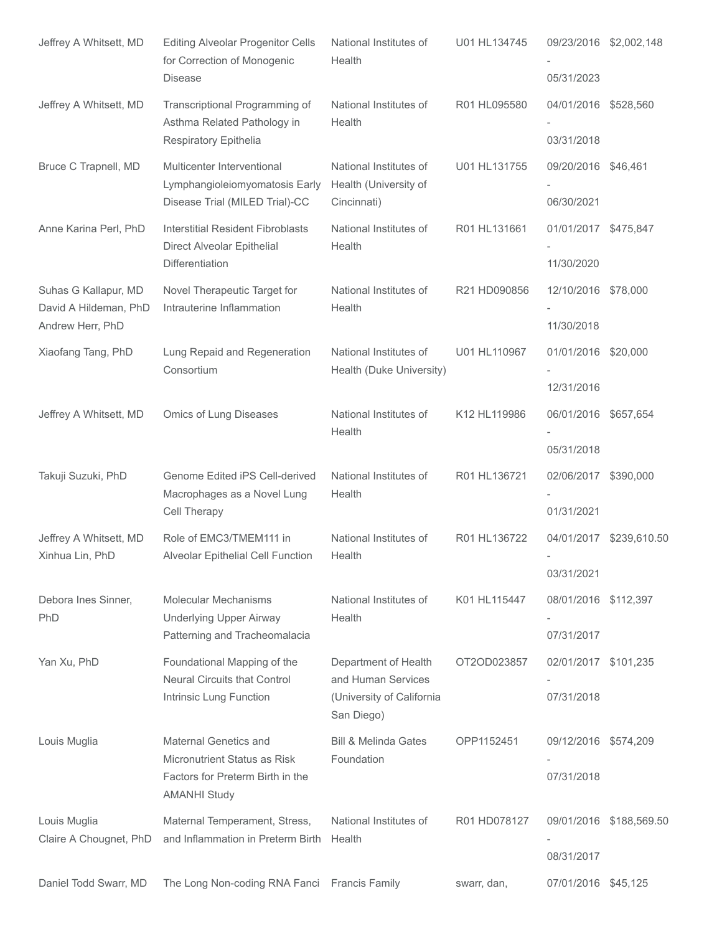| Jeffrey A Whitsett, MD                                            | <b>Editing Alveolar Progenitor Cells</b><br>for Correction of Monogenic<br><b>Disease</b>                        | National Institutes of<br>Health                                                      | U01 HL134745 | 09/23/2016 \$2,002,148<br>05/31/2023 |                         |
|-------------------------------------------------------------------|------------------------------------------------------------------------------------------------------------------|---------------------------------------------------------------------------------------|--------------|--------------------------------------|-------------------------|
| Jeffrey A Whitsett, MD                                            | Transcriptional Programming of<br>Asthma Related Pathology in<br>Respiratory Epithelia                           | National Institutes of<br>Health                                                      | R01 HL095580 | 04/01/2016 \$528,560<br>03/31/2018   |                         |
| Bruce C Trapnell, MD                                              | Multicenter Interventional<br>Lymphangioleiomyomatosis Early<br>Disease Trial (MILED Trial)-CC                   | National Institutes of<br>Health (University of<br>Cincinnati)                        | U01 HL131755 | 09/20/2016 \$46,461<br>06/30/2021    |                         |
| Anne Karina Perl, PhD                                             | <b>Interstitial Resident Fibroblasts</b><br>Direct Alveolar Epithelial<br>Differentiation                        | National Institutes of<br>Health                                                      | R01 HL131661 | 01/01/2017 \$475,847<br>11/30/2020   |                         |
| Suhas G Kallapur, MD<br>David A Hildeman, PhD<br>Andrew Herr, PhD | Novel Therapeutic Target for<br>Intrauterine Inflammation                                                        | National Institutes of<br>Health                                                      | R21 HD090856 | 12/10/2016 \$78,000<br>11/30/2018    |                         |
| Xiaofang Tang, PhD                                                | Lung Repaid and Regeneration<br>Consortium                                                                       | National Institutes of<br>Health (Duke University)                                    | U01 HL110967 | 01/01/2016 \$20,000<br>12/31/2016    |                         |
| Jeffrey A Whitsett, MD                                            | Omics of Lung Diseases                                                                                           | National Institutes of<br>Health                                                      | K12 HL119986 | 06/01/2016 \$657,654<br>05/31/2018   |                         |
| Takuji Suzuki, PhD                                                | Genome Edited iPS Cell-derived<br>Macrophages as a Novel Lung<br>Cell Therapy                                    | National Institutes of<br>Health                                                      | R01 HL136721 | 02/06/2017 \$390,000<br>01/31/2021   |                         |
| Jeffrey A Whitsett, MD<br>Xinhua Lin, PhD                         | Role of EMC3/TMEM111 in<br>Alveolar Epithelial Cell Function                                                     | National Institutes of<br>Health                                                      | R01 HL136722 | 03/31/2021                           | 04/01/2017 \$239,610.50 |
| Debora Ines Sinner,<br>PhD                                        | <b>Molecular Mechanisms</b><br><b>Underlying Upper Airway</b><br>Patterning and Tracheomalacia                   | National Institutes of<br>Health                                                      | K01 HL115447 | 08/01/2016 \$112,397<br>07/31/2017   |                         |
| Yan Xu, PhD                                                       | Foundational Mapping of the<br><b>Neural Circuits that Control</b><br>Intrinsic Lung Function                    | Department of Health<br>and Human Services<br>(University of California<br>San Diego) | OT2OD023857  | 02/01/2017 \$101,235<br>07/31/2018   |                         |
| Louis Muglia                                                      | Maternal Genetics and<br>Micronutrient Status as Risk<br>Factors for Preterm Birth in the<br><b>AMANHI Study</b> | <b>Bill &amp; Melinda Gates</b><br>Foundation                                         | OPP1152451   | 09/12/2016 \$574,209<br>07/31/2018   |                         |
| Louis Muglia<br>Claire A Chougnet, PhD                            | Maternal Temperament, Stress,<br>and Inflammation in Preterm Birth                                               | National Institutes of<br>Health                                                      | R01 HD078127 | 08/31/2017                           | 09/01/2016 \$188,569.50 |
| Daniel Todd Swarr, MD                                             | The Long Non-coding RNA Fanci Francis Family                                                                     |                                                                                       | swarr, dan,  | 07/01/2016 \$45,125                  |                         |